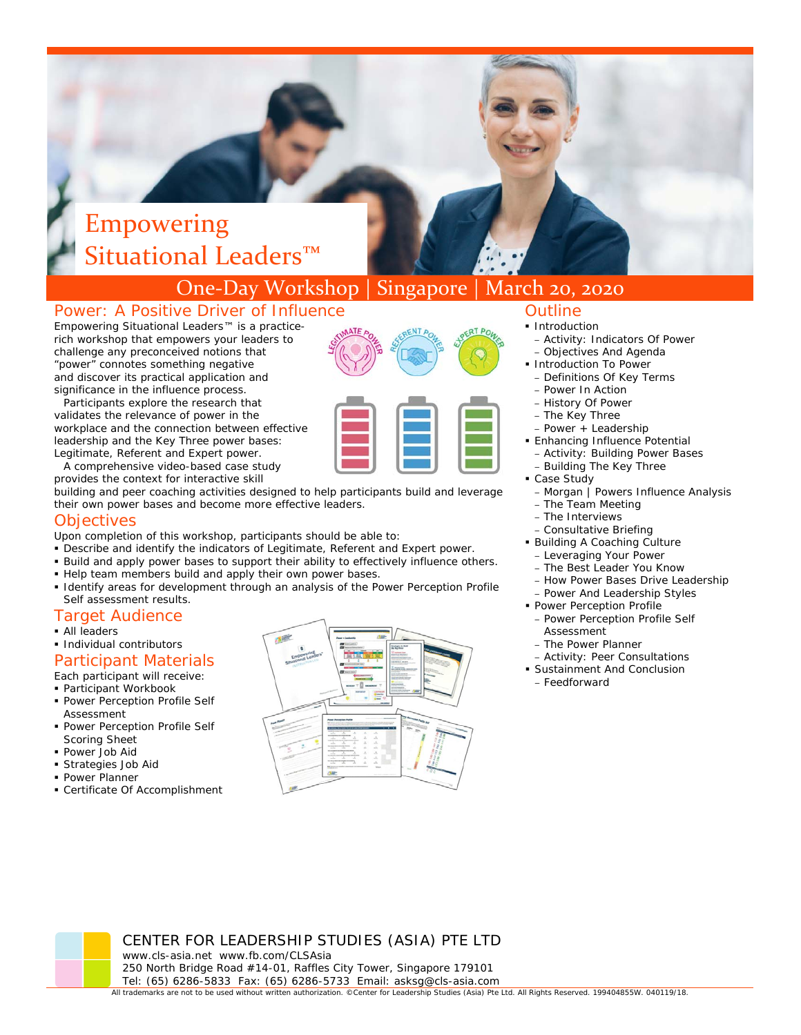# Empowering Situational Leaders<sup>™</sup>

# One‐Day Workshop | Singapore | March 20, 2020

# Power: A Positive Driver of Influence

*Empowering Situational Leaders™* is a practicerich workshop that empowers your leaders to challenge any preconceived notions that "power" connotes something negative and discover its practical application and significance in the i nfluence process.

Legitimate, Referent and Expert power. Participants explore the research that validates the relevance of power in the workplace and the connection between effective leadership and the Key Three power bases:

A comprehensive video-based case study provides the context for interactive skill

building and peer coaching activities designed to help participants build and leverage their own power bases and become more effective leaders.

#### **Objectives**

- Upon completion of this workshop, participants should be able to:
- Describe and identify the indicators of Legitimate, Referent and Expert power.
- Build and apply power bases to support their ability to effectively influence others.
- Help team members build and apply their own power bases.
- Identify areas for development through an analysis of the *Power Perception Profile Self* assessment results.

#### Target Audience

- All leaders
- **Individual contributors**

# Participant Materials

Each participant will receive:

- Participant Workbook
- Power Perception Profile Self Assessment
- **Power Perception Profile Self** Scoring Sheet
- Power Job Aid
- Strategies Job Aid
- **Power Planner**
- Certificate Of Accomplishment



# **Outline**

- 
- Activity: Indicators Of Power
- Objectives And Agenda **Introduction To Power**
- Definitions Of Key Terms
- Power In Action
- History Of Power
- The Key Three
- Power + Leadership
- **Enhancing Influence Potential**
- Activity: Building Power Bases
- Building The Key Three
- Case Study
	- Morgan | Powers Influence Analysis
	- The Team Meeting
	- The Interviews
	- Consultative Briefing
- Building A Coaching Culture
	- Leveraging Your Power
- The Best Leader You Know – How Power Bases Drive Leadership
- Power And Leadership Styles
- **Power Perception Profile**
- Power Perception Profile Self Assessment
- The Power Planner
- Activity: Peer Consultations
- Sustainment And Conclusion
- Feedforward

CENTER FOR LEADERSHIP STUDIES (ASIA) PTE LTD www.cls-asia.net www.fb.com/CLSAsia 250 North Bridge Road #14-01, Raffles City Tower, Singapore 179101 Tel: (65) 6286-5833 Fax: (65) 6286-5733 Email: asksg@cls-asia.com

All trademarks are not to be used without written authorization. ©Center for Leadership Studies (Asia) Pte Ltd. All Rights Reserved. 199404855W. 040119/18.

**Introduction**